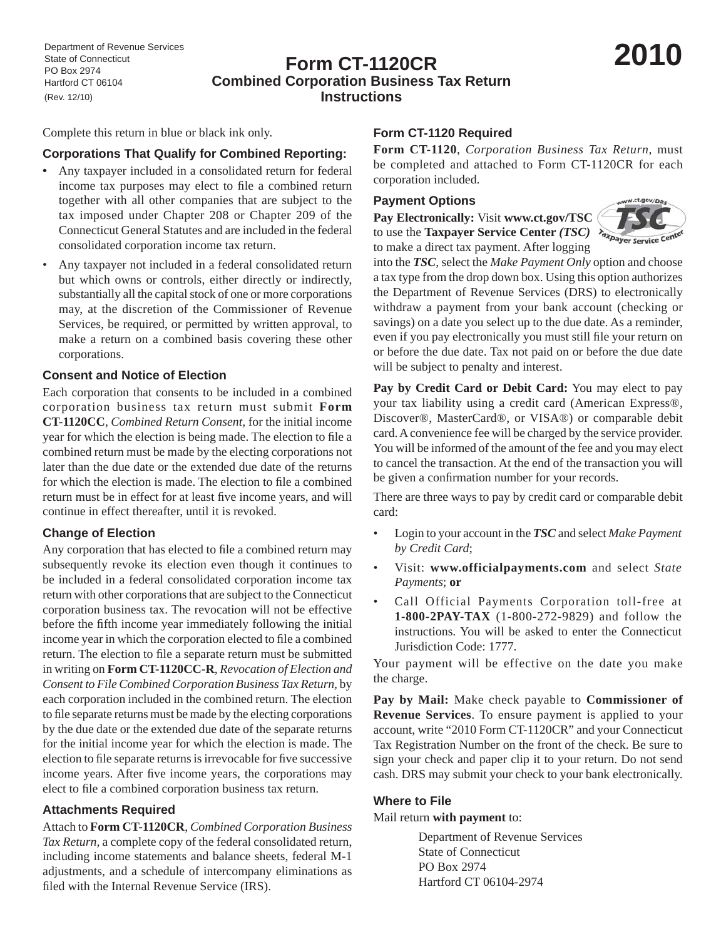# **Form CT-1120CR Combined Corporation Business Tax Return Instructions**

Complete this return in blue or black ink only.

### **Corporations That Qualify for Combined Reporting:**

- Any taxpayer included in a consolidated return for federal income tax purposes may elect to file a combined return together with all other companies that are subject to the tax imposed under Chapter 208 or Chapter 209 of the Connecticut General Statutes and are included in the federal consolidated corporation income tax return.
- Any taxpayer not included in a federal consolidated return but which owns or controls, either directly or indirectly, substantially all the capital stock of one or more corporations may, at the discretion of the Commissioner of Revenue Services, be required, or permitted by written approval, to make a return on a combined basis covering these other corporations.

#### **Consent and Notice of Election**

Each corporation that consents to be included in a combined corporation business tax return must submit **Form CT-1120CC**, *Combined Return Consent,* for the initial income year for which the election is being made. The election to file a combined return must be made by the electing corporations not later than the due date or the extended due date of the returns for which the election is made. The election to file a combined return must be in effect for at least five income years, and will continue in effect thereafter, until it is revoked.

### **Change of Election**

Any corporation that has elected to file a combined return may subsequently revoke its election even though it continues to be included in a federal consolidated corporation income tax return with other corporations that are subject to the Connecticut corporation business tax. The revocation will not be effective before the fifth income year immediately following the initial income year in which the corporation elected to file a combined return. The election to file a separate return must be submitted in writing on **Form CT-1120CC-R**, *Revocation of Election and Consent to File Combined Corporation Business Tax Return,* by each corporation included in the combined return. The election to file separate returns must be made by the electing corporations by the due date or the extended due date of the separate returns for the initial income year for which the election is made. The election to file separate returns is irrevocable for five successive income years. After five income years, the corporations may elect to file a combined corporation business tax return.

### **Attachments Required**

Attach to **Form CT-1120CR**, *Combined Corporation Business Tax Return,* a complete copy of the federal consolidated return, including income statements and balance sheets, federal M-1 adjustments, and a schedule of intercompany eliminations as filed with the Internal Revenue Service (IRS).

### **Form CT-1120 Required**

**Form CT-1120**, *Corporation Business Tax Return,* must be completed and attached to Form CT-1120CR for each corporation included.

### **Payment Options**

**Pay Electronically:** Visit **www.ct.gov/TSC**  to use the **Taxpayer Service Center** *(TSC)*  $\lambda_{apayer}$ to make a direct tax payment. After logging



into the *TSC*, select the *Make Payment Only* option and choose a tax type from the drop down box. Using this option authorizes the Department of Revenue Services (DRS) to electronically withdraw a payment from your bank account (checking or savings) on a date you select up to the due date. As a reminder, even if you pay electronically you must still file your return on or before the due date. Tax not paid on or before the due date will be subject to penalty and interest.

**Pay by Credit Card or Debit Card:** You may elect to pay your tax liability using a credit card (American Express®, Discover®, MasterCard®, or VISA®) or comparable debit card. A convenience fee will be charged by the service provider. You will be informed of the amount of the fee and you may elect to cancel the transaction. At the end of the transaction you will be given a confirmation number for your records.

There are three ways to pay by credit card or comparable debit card:

- Login to your account in the *TSC* and select *Make Payment by Credit Card*;
- Visit: **www.officialpayments.com** and select *State Payments*; **or**
- Call Official Payments Corporation toll-free at **1-800-2PAY-TAX** (1-800-272-9829) and follow the instructions. You will be asked to enter the Connecticut Jurisdiction Code: 1777.

Your payment will be effective on the date you make the charge.

**Pay by Mail:** Make check payable to **Commissioner of Revenue Services**. To ensure payment is applied to your account, write "2010 Form CT-1120CR" and your Connecticut Tax Registration Number on the front of the check. Be sure to sign your check and paper clip it to your return. Do not send cash. DRS may submit your check to your bank electronically.

### **Where to File**

### Mail return **with payment** to:

 Department of Revenue Services State of Connecticut PO Box 2974 Hartford CT 06104-2974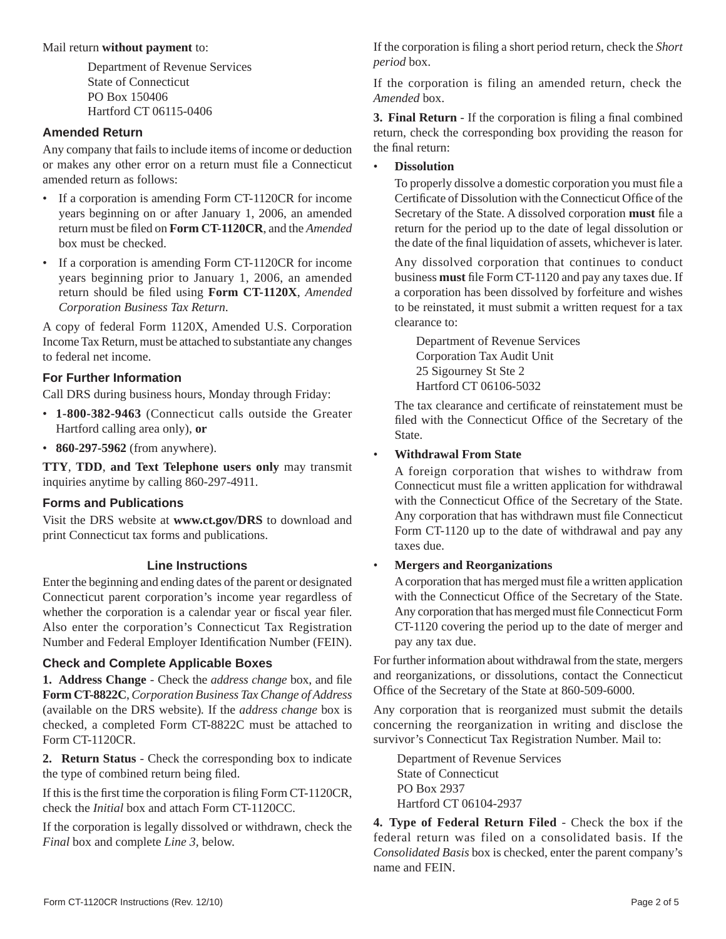#### Mail return **without payment** to:

Department of Revenue Services State of Connecticut PO Box 150406 Hartford CT 06115-0406

### **Amended Return**

Any company that fails to include items of income or deduction or makes any other error on a return must file a Connecticut amended return as follows:

- If a corporation is amending Form CT-1120CR for income years beginning on or after January 1, 2006, an amended return must be fi led on **Form CT-1120CR**, and the *Amended* box must be checked.
- If a corporation is amending Form CT-1120CR for income years beginning prior to January 1, 2006, an amended return should be filed using Form CT-1120X, *Amended Corporation Business Tax Return*.

A copy of federal Form 1120X, Amended U.S. Corporation Income Tax Return, must be attached to substantiate any changes to federal net income.

### **For Further Information**

Call DRS during business hours, Monday through Friday:

- • **1-800-382-9463** (Connecticut calls outside the Greater Hartford calling area only), **or**
- • **860-297-5962** (from anywhere).

**TTY**, **TDD**, **and Text Telephone users only** may transmit inquiries anytime by calling 860-297-4911.

### **Forms and Publications**

Visit the DRS website at **www.ct.gov/DRS** to download and print Connecticut tax forms and publications.

### **Line Instructions**

Enter the beginning and ending dates of the parent or designated Connecticut parent corporation's income year regardless of whether the corporation is a calendar year or fiscal year filer. Also enter the corporation's Connecticut Tax Registration Number and Federal Employer Identification Number (FEIN).

### **Check and Complete Applicable Boxes**

**1. Address Change** - Check the *address change* box, and file **Form CT-8822C**, *Corporation Business Tax Change of Address*  (available on the DRS website)*.* If the *address change* box is checked, a completed Form CT-8822C must be attached to Form CT-1120CR.

**2. Return Status** - Check the corresponding box to indicate the type of combined return being filed.

If this is the first time the corporation is filing Form CT-1120CR, check the *Initial* box and attach Form CT-1120CC.

If the corporation is legally dissolved or withdrawn, check the *Final* box and complete *Line 3*, below.

If the corporation is filing a short period return, check the *Short period* box.

If the corporation is filing an amended return, check the *Amended* box.

**3. Final Return** - If the corporation is filing a final combined return, check the corresponding box providing the reason for the final return:

### • **Dissolution**

To properly dissolve a domestic corporation you must file a Certificate of Dissolution with the Connecticut Office of the Secretary of the State. A dissolved corporation **must** file a return for the period up to the date of legal dissolution or the date of the final liquidation of assets, whichever is later.

 Any dissolved corporation that continues to conduct business **must** file Form CT-1120 and pay any taxes due. If a corporation has been dissolved by forfeiture and wishes to be reinstated, it must submit a written request for a tax clearance to:

 Department of Revenue Services Corporation Tax Audit Unit 25 Sigourney St Ste 2 Hartford CT 06106-5032

The tax clearance and certificate of reinstatement must be filed with the Connecticut Office of the Secretary of the State.

### • **Withdrawal From State**

 A foreign corporation that wishes to withdraw from Connecticut must file a written application for withdrawal with the Connecticut Office of the Secretary of the State. Any corporation that has withdrawn must file Connecticut Form CT-1120 up to the date of withdrawal and pay any taxes due.

### • **Mergers and Reorganizations**

A corporation that has merged must file a written application with the Connecticut Office of the Secretary of the State. Any corporation that has merged must file Connecticut Form CT-1120 covering the period up to the date of merger and pay any tax due.

For further information about withdrawal from the state, mergers and reorganizations, or dissolutions, contact the Connecticut Office of the Secretary of the State at 860-509-6000.

Any corporation that is reorganized must submit the details concerning the reorganization in writing and disclose the survivor's Connecticut Tax Registration Number. Mail to:

 Department of Revenue Services State of Connecticut PO Box 2937 Hartford CT 06104-2937

**4. Type of Federal Return Filed** - Check the box if the federal return was filed on a consolidated basis. If the *Consolidated Basis* box is checked, enter the parent company's name and FEIN.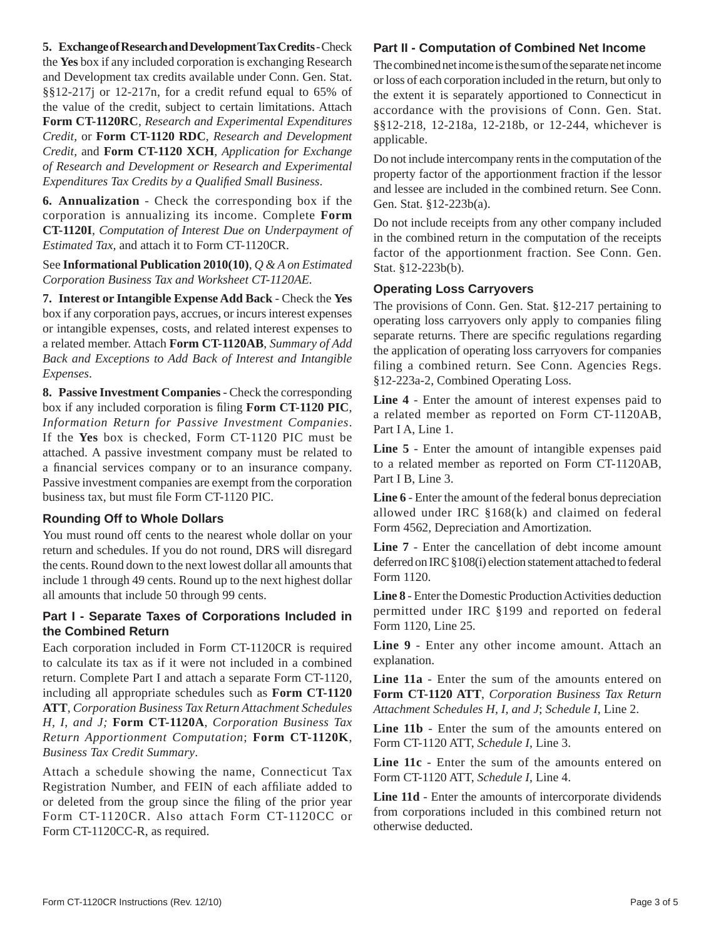### **5. Exchange of Research and Development Tax Credits** - Check

the **Yes** box if any included corporation is exchanging Research and Development tax credits available under Conn. Gen. Stat. §§12-217j or 12-217n, for a credit refund equal to 65% of the value of the credit, subject to certain limitations. Attach **Form CT-1120RC**, *Research and Experimental Expenditures Credit*, or **Form CT-1120 RDC**, *Research and Development Credit*, and **Form CT-1120 XCH**, *Application for Exchange of Research and Development or Research and Experimental Expenditures Tax Credits by a Qualifi ed Small Business*.

**6. Annualization** - Check the corresponding box if the corporation is annualizing its income. Complete **Form CT-1120I**, *Computation of Interest Due on Underpayment of Estimated Tax,* and attach it to Form CT-1120CR.

See **Informational Publication 2010(10)**, *Q & A on Estimated Corporation Business Tax and Worksheet CT-1120AE.*

**7. Interest or Intangible Expense Add Back** - Check the **Yes**  box if any corporation pays, accrues, or incurs interest expenses or intangible expenses, costs, and related interest expenses to a related member. Attach **Form CT-1120AB**, *Summary of Add Back and Exceptions to Add Back of Interest and Intangible Expenses*.

**8. Passive Investment Companies** - Check the corresponding box if any included corporation is filing Form CT-1120 PIC, *Information Return for Passive Investment Companies*. If the **Yes** box is checked, Form CT-1120 PIC must be attached. A passive investment company must be related to a financial services company or to an insurance company. Passive investment companies are exempt from the corporation business tax, but must file Form CT-1120 PIC.

### **Rounding Off to Whole Dollars**

You must round off cents to the nearest whole dollar on your return and schedules. If you do not round, DRS will disregard the cents. Round down to the next lowest dollar all amounts that include 1 through 49 cents. Round up to the next highest dollar all amounts that include 50 through 99 cents.

### **Part I - Separate Taxes of Corporations Included in the Combined Return**

Each corporation included in Form CT-1120CR is required to calculate its tax as if it were not included in a combined return. Complete Part I and attach a separate Form CT-1120, including all appropriate schedules such as **Form CT-1120 ATT**, *Corporation Business Tax Return Attachment Schedules H, I, and J;* **Form CT-1120A**, *Corporation Business Tax Return Apportionment Computation*; **Form CT-1120K**, *Business Tax Credit Summary*.

Attach a schedule showing the name, Connecticut Tax Registration Number, and FEIN of each affiliate added to or deleted from the group since the filing of the prior year Form CT-1120CR. Also attach Form CT-1120CC or Form CT-1120CC-R, as required.

### **Part II - Computation of Combined Net Income**

The combined net income is the sum of the separate net income or loss of each corporation included in the return, but only to the extent it is separately apportioned to Connecticut in accordance with the provisions of Conn. Gen. Stat. §§12-218, 12-218a, 12-218b, or 12-244, whichever is applicable.

Do not include intercompany rents in the computation of the property factor of the apportionment fraction if the lessor and lessee are included in the combined return. See Conn. Gen. Stat. §12-223b(a).

Do not include receipts from any other company included in the combined return in the computation of the receipts factor of the apportionment fraction. See Conn. Gen. Stat. §12-223b(b).

### **Operating Loss Carryovers**

The provisions of Conn. Gen. Stat. §12-217 pertaining to operating loss carryovers only apply to companies filing separate returns. There are specific regulations regarding the application of operating loss carryovers for companies filing a combined return. See Conn. Agencies Regs. §12-223a-2, Combined Operating Loss.

**Line 4** - Enter the amount of interest expenses paid to a related member as reported on Form CT-1120AB, Part I A, Line 1.

**Line 5** - Enter the amount of intangible expenses paid to a related member as reported on Form CT-1120AB, Part I B, Line 3.

**Line 6** - Enter the amount of the federal bonus depreciation allowed under IRC §168(k) and claimed on federal Form 4562, Depreciation and Amortization.

**Line 7** - Enter the cancellation of debt income amount deferred on IRC §108(i) election statement attached to federal Form 1120.

**Line 8** - Enter the Domestic Production Activities deduction permitted under IRC §199 and reported on federal Form 1120, Line 25.

**Line 9** - Enter any other income amount. Attach an explanation.

**Line 11a** - Enter the sum of the amounts entered on **Form CT-1120 ATT**, *Corporation Business Tax Return Attachment Schedules H, I, and J*; *Schedule I*, Line 2.

**Line 11b** - Enter the sum of the amounts entered on Form CT-1120 ATT, *Schedule I*, Line 3.

**Line 11c** - Enter the sum of the amounts entered on Form CT-1120 ATT, *Schedule I*, Line 4.

**Line 11d** - Enter the amounts of intercorporate dividends from corporations included in this combined return not otherwise deducted.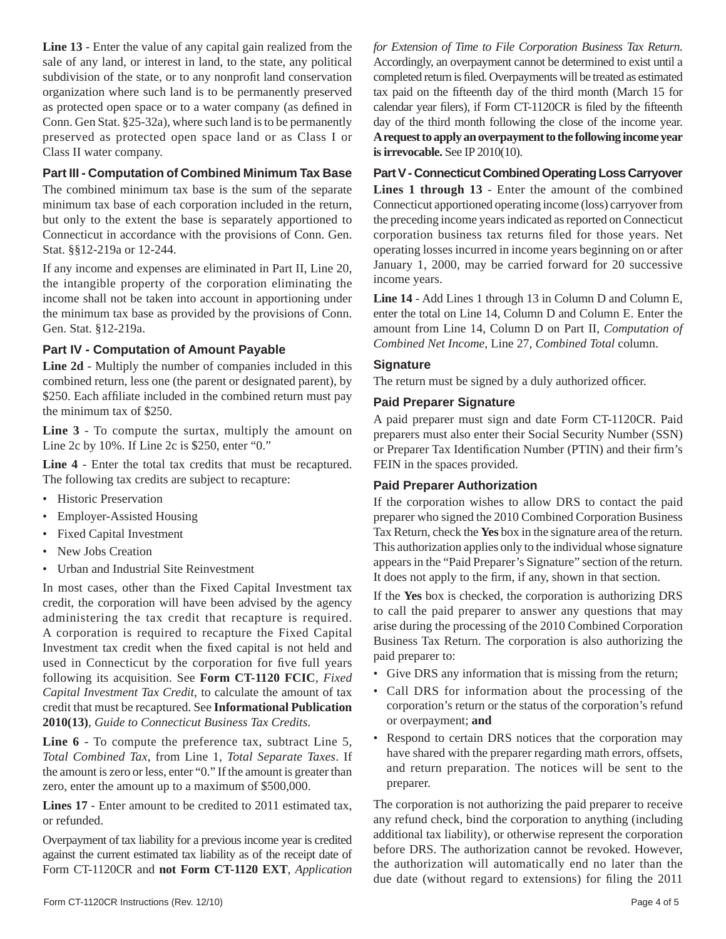**Line 13** - Enter the value of any capital gain realized from the sale of any land, or interest in land, to the state, any political subdivision of the state, or to any nonprofit land conservation organization where such land is to be permanently preserved as protected open space or to a water company (as defined in Conn. Gen Stat. §25-32a), where such land is to be permanently preserved as protected open space land or as Class I or Class II water company.

### **Part III - Computation of Combined Minimum Tax Base**

The combined minimum tax base is the sum of the separate minimum tax base of each corporation included in the return, but only to the extent the base is separately apportioned to Connecticut in accordance with the provisions of Conn. Gen. Stat. §§12-219a or 12-244.

If any income and expenses are eliminated in Part II, Line 20, the intangible property of the corporation eliminating the income shall not be taken into account in apportioning under the minimum tax base as provided by the provisions of Conn. Gen. Stat. §12-219a.

### **Part IV - Computation of Amount Payable**

**Line 2d** - Multiply the number of companies included in this combined return, less one (the parent or designated parent), by \$250. Each affiliate included in the combined return must pay the minimum tax of \$250.

**Line 3** - To compute the surtax, multiply the amount on Line 2c by 10%. If Line 2c is \$250, enter "0."

**Line 4** - Enter the total tax credits that must be recaptured. The following tax credits are subject to recapture:

- Historic Preservation
- Employer-Assisted Housing
- Fixed Capital Investment
- New Jobs Creation
- Urban and Industrial Site Reinvestment

In most cases, other than the Fixed Capital Investment tax credit, the corporation will have been advised by the agency administering the tax credit that recapture is required. A corporation is required to recapture the Fixed Capital Investment tax credit when the fixed capital is not held and used in Connecticut by the corporation for five full years following its acquisition. See **Form CT-1120 FCIC**, *Fixed Capital Investment Tax Credit*, to calculate the amount of tax credit that must be recaptured. See **Informational Publication 2010(13)**, *Guide to Connecticut Business Tax Credits*.

**Line 6** - To compute the preference tax, subtract Line 5, *Total Combined Tax*, from Line 1, *Total Separate Taxes*. If the amount is zero or less, enter "0." If the amount is greater than zero, enter the amount up to a maximum of \$500,000.

**Lines 17** - Enter amount to be credited to 2011 estimated tax, or refunded.

Overpayment of tax liability for a previous income year is credited against the current estimated tax liability as of the receipt date of Form CT-1120CR and **not Form CT-1120 EXT**, *Application* 

*for Extension of Time to File Corporation Business Tax Return*. Accordingly, an overpayment cannot be determined to exist until a completed return is filed. Overpayments will be treated as estimated tax paid on the fifteenth day of the third month (March 15 for calendar year filers), if Form CT-1120CR is filed by the fifteenth day of the third month following the close of the income year. **A request to apply an overpayment to the following income year is irrevocable.** See IP 2010(10).

### **Part V - Connecticut Combined Operating Loss Carryover**

**Lines 1 through 13** - Enter the amount of the combined Connecticut apportioned operating income (loss) carryover from the preceding income years indicated as reported on Connecticut corporation business tax returns filed for those years. Net operating losses incurred in income years beginning on or after January 1, 2000, may be carried forward for 20 successive income years.

**Line 14** - Add Lines 1 through 13 in Column D and Column E, enter the total on Line 14, Column D and Column E. Enter the amount from Line 14, Column D on Part II, *Computation of Combined Net Income*, Line 27, *Combined Total* column.

### **Signature**

The return must be signed by a duly authorized officer.

#### **Paid Preparer Signature**

A paid preparer must sign and date Form CT-1120CR. Paid preparers must also enter their Social Security Number (SSN) or Preparer Tax Identification Number (PTIN) and their firm's FEIN in the spaces provided.

### **Paid Preparer Authorization**

If the corporation wishes to allow DRS to contact the paid preparer who signed the 2010 Combined Corporation Business Tax Return, check the **Yes** box in the signature area of the return. This authorization applies only to the individual whose signature appears in the "Paid Preparer's Signature" section of the return. It does not apply to the firm, if any, shown in that section.

If the **Yes** box is checked, the corporation is authorizing DRS to call the paid preparer to answer any questions that may arise during the processing of the 2010 Combined Corporation Business Tax Return. The corporation is also authorizing the paid preparer to:

- Give DRS any information that is missing from the return;
- Call DRS for information about the processing of the corporation's return or the status of the corporation's refund or overpayment; **and**
- Respond to certain DRS notices that the corporation may have shared with the preparer regarding math errors, offsets, and return preparation. The notices will be sent to the preparer.

The corporation is not authorizing the paid preparer to receive any refund check, bind the corporation to anything (including additional tax liability), or otherwise represent the corporation before DRS. The authorization cannot be revoked. However, the authorization will automatically end no later than the due date (without regard to extensions) for filing the 2011